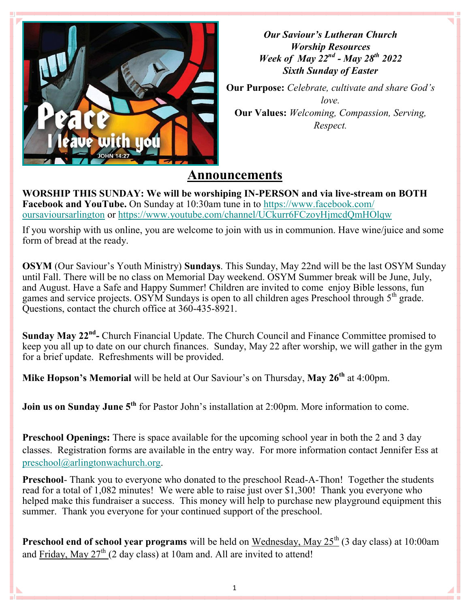

*Our Saviour's Lutheran Church Worship Resources Week of May 22nd - May 28th 2022 Sixth Sunday of Easter*

**Our Purpose:** *Celebrate, cultivate and share God's love.* **Our Values:** *Welcoming, Compassion, Serving, Respect.*

## **Announcements**

**WORSHIP THIS SUNDAY: We will be worshiping IN-PERSON and via live-stream on BOTH Facebook and YouTube.** On Sunday at 10:30am tune in to [https://www.facebook.com/](https://www.facebook.com/oursavioursarlington) [oursavioursarlington](https://www.facebook.com/oursavioursarlington) or <https://www.youtube.com/channel/UCkurr6FCzoyHjmcdQmHOlqw>

If you worship with us online, you are welcome to join with us in communion. Have wine/juice and some form of bread at the ready.

**OSYM** (Our Saviour's Youth Ministry) **Sundays**. This Sunday, May 22nd will be the last OSYM Sunday until Fall. There will be no class on Memorial Day weekend. OSYM Summer break will be June, July, and August. Have a Safe and Happy Summer! Children are invited to come enjoy Bible lessons, fun games and service projects. OSYM Sundays is open to all children ages Preschool through 5<sup>th</sup> grade. Questions, contact the church office at 360-435-8921.

**Sunday May 22nd -** Church Financial Update. The Church Council and Finance Committee promised to keep you all up to date on our church finances. Sunday, May 22 after worship, we will gather in the gym for a brief update. Refreshments will be provided.

**Mike Hopson's Memorial** will be held at Our Saviour's on Thursday, **May 26th** at 4:00pm.

**Join us on Sunday June 5<sup>th</sup>** for Pastor John's installation at 2:00pm. More information to come.

**Preschool Openings:** There is space available for the upcoming school year in both the 2 and 3 day classes. Registration forms are available in the entry way. For more information contact Jennifer Ess at [preschool@arlingtonwachurch.org.](mailto:preschool@arlingtonwachurch.org)

**Preschool-** Thank you to everyone who donated to the preschool Read-A-Thon! Together the students read for a total of 1,082 minutes! We were able to raise just over \$1,300! Thank you everyone who helped make this fundraiser a success. This money will help to purchase new playground equipment this summer. Thank you everyone for your continued support of the preschool.

Preschool end of school year programs will be held on Wednesday, May 25<sup>th</sup> (3 day class) at 10:00am and Friday, May  $27<sup>th</sup>$  (2 day class) at 10am and. All are invited to attend!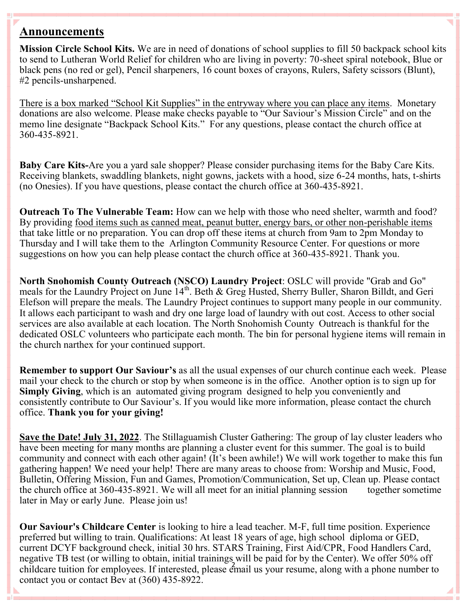## **Announcements**

**Mission Circle School Kits.** We are in need of donations of school supplies to fill 50 backpack school kits to send to Lutheran World Relief for children who are living in poverty: 70-sheet spiral notebook, Blue or black pens (no red or gel), Pencil sharpeners, 16 count boxes of crayons, Rulers, Safety scissors (Blunt), #2 pencils-unsharpened.

There is a box marked "School Kit Supplies" in the entryway where you can place any items. Monetary donations are also welcome. Please make checks payable to "Our Saviour's Mission Circle" and on the memo line designate "Backpack School Kits." For any questions, please contact the church office at 360-435-8921.

**Baby Care Kits-**Are you a yard sale shopper? Please consider purchasing items for the Baby Care Kits. Receiving blankets, swaddling blankets, night gowns, jackets with a hood, size 6-24 months, hats, t-shirts (no Onesies). If you have questions, please contact the church office at 360-435-8921.

**Outreach To The Vulnerable Team:** How can we help with those who need shelter, warmth and food? By providing food items such as canned meat, peanut butter, energy bars, or other non-perishable items that take little or no preparation. You can drop off these items at church from 9am to 2pm Monday to Thursday and I will take them to the Arlington Community Resource Center. For questions or more suggestions on how you can help please contact the church office at 360-435-8921. Thank you.

**North Snohomish County Outreach (NSCO) Laundry Project**: OSLC will provide "Grab and Go" meals for the Laundry Project on June 14<sup>th</sup>. Beth & Greg Husted, Sherry Buller, Sharon Billdt, and Geri Elefson will prepare the meals. The Laundry Project continues to support many people in our community. It allows each participant to wash and dry one large load of laundry with out cost. Access to other social services are also available at each location. The North Snohomish County Outreach is thankful for the dedicated OSLC volunteers who participate each month. The bin for personal hygiene items will remain in the church narthex for your continued support.

**Remember to support Our Saviour's** as all the usual expenses of our church continue each week. Please mail your check to the church or stop by when someone is in the office. Another option is to sign up for **Simply Giving**, which is an automated giving program designed to help you conveniently and consistently contribute to Our Saviour's. If you would like more information, please contact the church office. **Thank you for your giving!**

**Save the Date! July 31, 2022**. The Stillaguamish Cluster Gathering: The group of lay cluster leaders who have been meeting for many months are planning a cluster event for this summer. The goal is to build community and connect with each other again! (It's been awhile!) We will work together to make this fun gathering happen! We need your help! There are many areas to choose from: Worship and Music, Food, Bulletin, Offering Mission, Fun and Games, Promotion/Communication, Set up, Clean up. Please contact the church office at 360-435-8921. We will all meet for an initial planning session together sometime later in May or early June. Please join us!

2 childcare tuition for employees. If interested, please email us your resume, along with a phone number to **Our Saviour's Childcare Center** is looking to hire a lead teacher. M-F, full time position. Experience preferred but willing to train. Qualifications: At least 18 years of age, high school diploma or GED, current DCYF background check, initial 30 hrs. STARS Training, First Aid/CPR, Food Handlers Card, negative TB test (or willing to obtain, initial trainings will be paid for by the Center). We offer 50% off contact you or contact Bev at (360) 435-8922.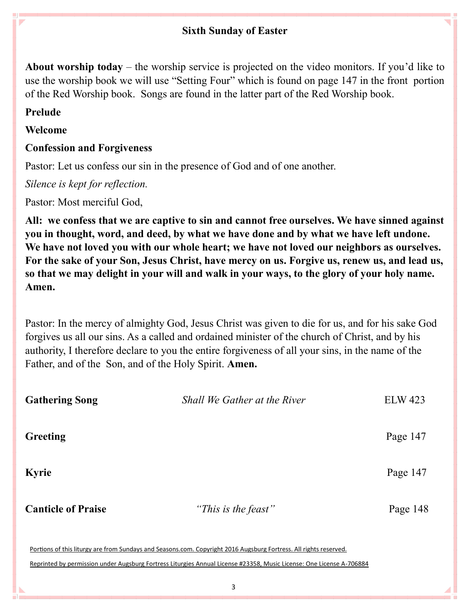## **Sixth Sunday of Easter**

**About worship today** – the worship service is projected on the video monitors. If you'd like to use the worship book we will use "Setting Four" which is found on page 147 in the front portion of the Red Worship book. Songs are found in the latter part of the Red Worship book.

## **Prelude**

D

### **Welcome**

## **Confession and Forgiveness**

Pastor: Let us confess our sin in the presence of God and of one another.

*Silence is kept for reflection.*

Pastor: Most merciful God,

**All: we confess that we are captive to sin and cannot free ourselves. We have sinned against you in thought, word, and deed, by what we have done and by what we have left undone. We have not loved you with our whole heart; we have not loved our neighbors as ourselves. For the sake of your Son, Jesus Christ, have mercy on us. Forgive us, renew us, and lead us, so that we may delight in your will and walk in your ways, to the glory of your holy name. Amen.**

Pastor: In the mercy of almighty God, Jesus Christ was given to die for us, and for his sake God forgives us all our sins. As a called and ordained minister of the church of Christ, and by his authority, I therefore declare to you the entire forgiveness of all your sins, in the name of the Father, and of the Son, and of the Holy Spirit. **Amen.**

| <b>Gathering Song</b>     | Shall We Gather at the River | <b>ELW 423</b> |
|---------------------------|------------------------------|----------------|
| <b>Greeting</b>           |                              | Page 147       |
| <b>Kyrie</b>              |                              | Page 147       |
| <b>Canticle of Praise</b> | "This is the feast"          | Page 148       |
|                           |                              |                |

Portions of this liturgy are from Sundays and Seasons.com. Copyright 2016 Augsburg Fortress. All rights reserved.

Reprinted by permission under Augsburg Fortress Liturgies Annual License #23358, Music License: One License A-706884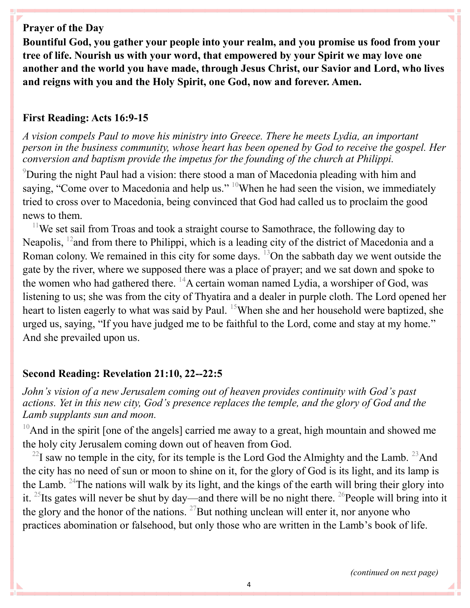## **Prayer of the Day**

**Bountiful God, you gather your people into your realm, and you promise us food from your tree of life. Nourish us with your word, that empowered by your Spirit we may love one another and the world you have made, through Jesus Christ, our Savior and Lord, who lives and reigns with you and the Holy Spirit, one God, now and forever. Amen.**

#### **First Reading: Acts 16:9-15**

*A vision compels Paul to move his ministry into Greece. There he meets Lydia, an important person in the business community, whose heart has been opened by God to receive the gospel. Her conversion and baptism provide the impetus for the founding of the church at Philippi.*

<sup>9</sup>During the night Paul had a vision: there stood a man of Macedonia pleading with him and saying, "Come over to Macedonia and help us." <sup>10</sup>When he had seen the vision, we immediately tried to cross over to Macedonia, being convinced that God had called us to proclaim the good news to them.

 $11$ We set sail from Troas and took a straight course to Samothrace, the following day to Neapolis, <sup>12</sup> and from there to Philippi, which is a leading city of the district of Macedonia and a Roman colony. We remained in this city for some days.  $^{13}$ On the sabbath day we went outside the gate by the river, where we supposed there was a place of prayer; and we sat down and spoke to the women who had gathered there.  $^{14}A$  certain woman named Lydia, a worshiper of God, was listening to us; she was from the city of Thyatira and a dealer in purple cloth. The Lord opened her heart to listen eagerly to what was said by Paul. <sup>15</sup>When she and her household were baptized, she urged us, saying, "If you have judged me to be faithful to the Lord, come and stay at my home." And she prevailed upon us.

#### **Second Reading: Revelation 21:10, 22--22:5**

*John's vision of a new Jerusalem coming out of heaven provides continuity with God's past actions. Yet in this new city, God's presence replaces the temple, and the glory of God and the Lamb supplants sun and moon.*

 $10$ And in the spirit [one of the angels] carried me away to a great, high mountain and showed me the holy city Jerusalem coming down out of heaven from God.

 $^{22}$ I saw no temple in the city, for its temple is the Lord God the Almighty and the Lamb.  $^{23}$ And the city has no need of sun or moon to shine on it, for the glory of God is its light, and its lamp is the Lamb. <sup>24</sup>The nations will walk by its light, and the kings of the earth will bring their glory into it.  $25$ Its gates will never be shut by day—and there will be no night there.  $26$ People will bring into it the glory and the honor of the nations.  $^{27}$ But nothing unclean will enter it, nor anyone who practices abomination or falsehood, but only those who are written in the Lamb's book of life.

*(continued on next page)*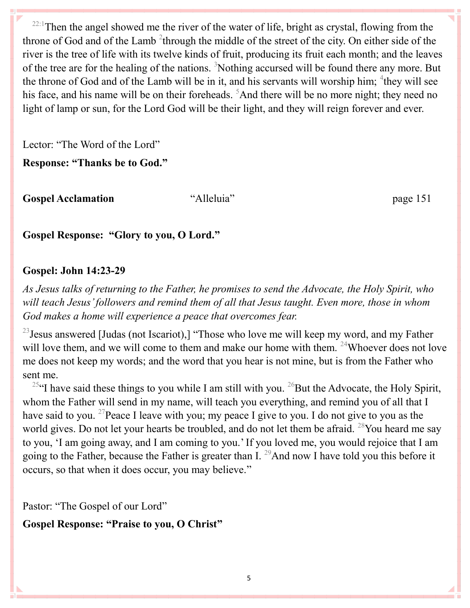$22:1$ Then the angel showed me the river of the water of life, bright as crystal, flowing from the throne of God and of the Lamb  $2$ <sup>2</sup>through the middle of the street of the city. On either side of the river is the tree of life with its twelve kinds of fruit, producing its fruit each month; and the leaves of the tree are for the healing of the nations. <sup>3</sup>Nothing accursed will be found there any more. But the throne of God and of the Lamb will be in it, and his servants will worship him;  $4$ they will see his face, and his name will be on their foreheads. <sup>5</sup>And there will be no more night; they need no light of lamp or sun, for the Lord God will be their light, and they will reign forever and ever.

Lector: "The Word of the Lord"

**Response: "Thanks be to God."**

**Gospel Acclamation** "Alleluia" page 151

**Gospel Response: "Glory to you, O Lord."** 

## **Gospel: John 14:23-29**

*As Jesus talks of returning to the Father, he promises to send the Advocate, the Holy Spirit, who will teach Jesus' followers and remind them of all that Jesus taught. Even more, those in whom God makes a home will experience a peace that overcomes fear.*

 $^{23}$  Jesus answered [Judas (not Iscariot),] "Those who love me will keep my word, and my Father will love them, and we will come to them and make our home with them. <sup>24</sup>Whoever does not love me does not keep my words; and the word that you hear is not mine, but is from the Father who sent me.

<sup>25"</sup>I have said these things to you while I am still with you. <sup>26</sup>But the Advocate, the Holy Spirit, whom the Father will send in my name, will teach you everything, and remind you of all that I have said to you. <sup>27</sup>Peace I leave with you; my peace I give to you. I do not give to you as the world gives. Do not let your hearts be troubled, and do not let them be afraid. <sup>28</sup>You heard me say to you, 'I am going away, and I am coming to you.' If you loved me, you would rejoice that I am going to the Father, because the Father is greater than I. <sup>29</sup>And now I have told you this before it occurs, so that when it does occur, you may believe."

Pastor: "The Gospel of our Lord"

**Gospel Response: "Praise to you, O Christ"**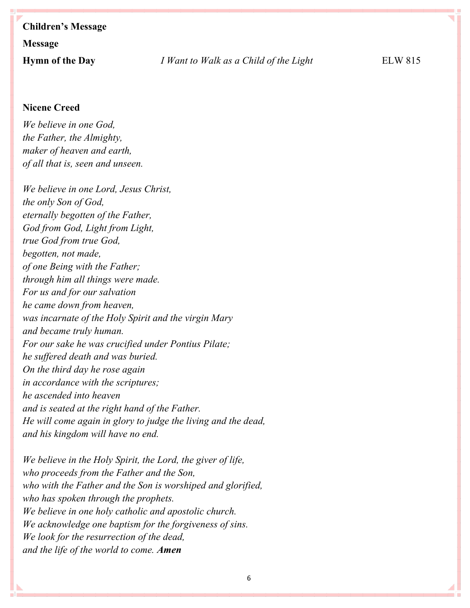# **Children's Message Message**

#### **Nicene Creed**

*We believe in one God, the Father, the Almighty, maker of heaven and earth, of all that is, seen and unseen.*

*We believe in one Lord, Jesus Christ, the only Son of God, eternally begotten of the Father, God from God, Light from Light, true God from true God, begotten, not made, of one Being with the Father; through him all things were made. For us and for our salvation he came down from heaven, was incarnate of the Holy Spirit and the virgin Mary and became truly human. For our sake he was crucified under Pontius Pilate; he suffered death and was buried. On the third day he rose again in accordance with the scriptures; he ascended into heaven and is seated at the right hand of the Father. He will come again in glory to judge the living and the dead, and his kingdom will have no end.*

*We believe in the Holy Spirit, the Lord, the giver of life, who proceeds from the Father and the Son, who with the Father and the Son is worshiped and glorified, who has spoken through the prophets. We believe in one holy catholic and apostolic church. We acknowledge one baptism for the forgiveness of sins. We look for the resurrection of the dead, and the life of the world to come. Amen*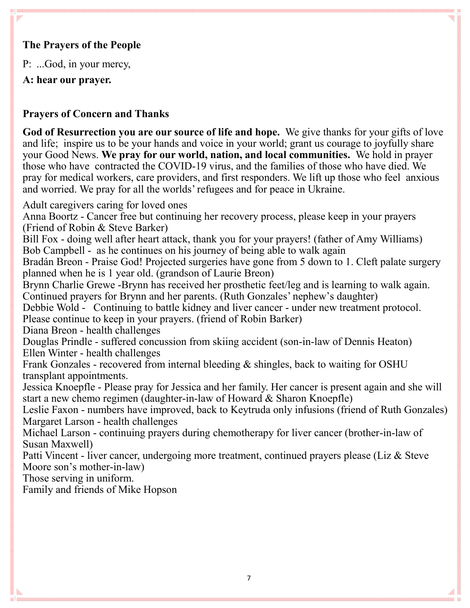## **The Prayers of the People**

P: ...God, in your mercy,

**A: hear our prayer.**

## **Prayers of Concern and Thanks**

**God of Resurrection you are our source of life and hope.** We give thanks for your gifts of love and life; inspire us to be your hands and voice in your world; grant us courage to joyfully share your Good News. **We pray for our world, nation, and local communities.** We hold in prayer those who have contracted the COVID-19 virus, and the families of those who have died. We pray for medical workers, care providers, and first responders. We lift up those who feel anxious and worried. We pray for all the worlds' refugees and for peace in Ukraine.

Adult caregivers caring for loved ones

Anna Boortz - Cancer free but continuing her recovery process, please keep in your prayers (Friend of Robin & Steve Barker)

Bill Fox - doing well after heart attack, thank you for your prayers! (father of Amy Williams) Bob Campbell - as he continues on his journey of being able to walk again

Bradán Breon - Praise God! Projected surgeries have gone from 5 down to 1. Cleft palate surgery planned when he is 1 year old. (grandson of Laurie Breon)

Brynn Charlie Grewe -Brynn has received her prosthetic feet/leg and is learning to walk again. Continued prayers for Brynn and her parents. (Ruth Gonzales' nephew's daughter)

Debbie Wold - Continuing to battle kidney and liver cancer - under new treatment protocol. Please continue to keep in your prayers. (friend of Robin Barker)

Diana Breon - health challenges

Douglas Prindle - suffered concussion from skiing accident (son-in-law of Dennis Heaton) Ellen Winter - health challenges

Frank Gonzales - recovered from internal bleeding & shingles, back to waiting for OSHU transplant appointments.

Jessica Knoepfle - Please pray for Jessica and her family. Her cancer is present again and she will start a new chemo regimen (daughter-in-law of Howard & Sharon Knoepfle)

Leslie Faxon - numbers have improved, back to Keytruda only infusions (friend of Ruth Gonzales) Margaret Larson - health challenges

Michael Larson - continuing prayers during chemotherapy for liver cancer (brother-in-law of Susan Maxwell)

Patti Vincent - liver cancer, undergoing more treatment, continued prayers please (Liz & Steve Moore son's mother-in-law)

Those serving in uniform.

Family and friends of Mike Hopson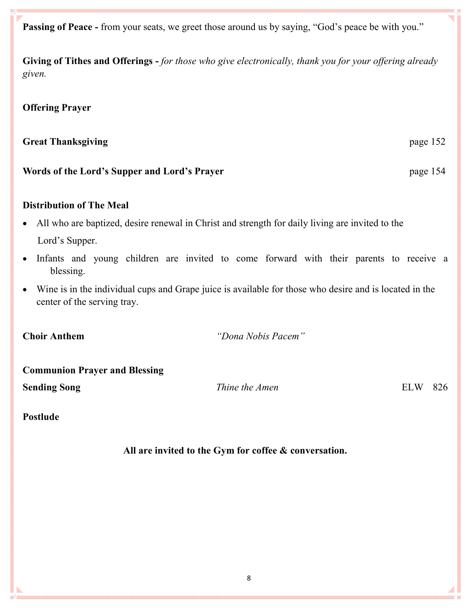**Passing of Peace -** from your seats, we greet those around us by saying, "God's peace be with you."

**Giving of Tithes and Offerings -** *for those who give electronically, thank you for your offering already given.*

#### **Offering Prayer**

#### **Great Thanksgiving**  page 152

#### **Words of the Lord's Supper and Lord's Prayer** page 154

#### **Distribution of The Meal**

- All who are baptized, desire renewal in Christ and strength for daily living are invited to the Lord's Supper.
- Infants and young children are invited to come forward with their parents to receive a blessing.
- Wine is in the individual cups and Grape juice is available for those who desire and is located in the center of the serving tray.

**Choir Anthem** *"Dona Nobis Pacem"*

| <b>Communion Prayer and Blessing</b> |                |         |  |  |  |
|--------------------------------------|----------------|---------|--|--|--|
| <b>Sending Song</b>                  | Thine the Amen | ELW 826 |  |  |  |

#### **Postlude**

**All are invited to the Gym for coffee & conversation.**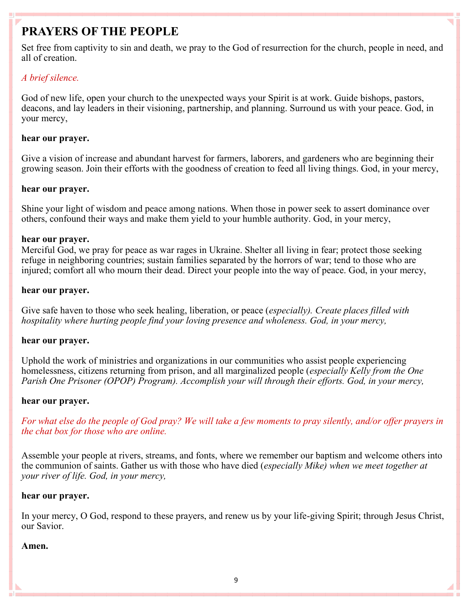# **PRAYERS OF THE PEOPLE**

Set free from captivity to sin and death, we pray to the God of resurrection for the church, people in need, and all of creation.

#### *A brief silence.*

God of new life, open your church to the unexpected ways your Spirit is at work. Guide bishops, pastors, deacons, and lay leaders in their visioning, partnership, and planning. Surround us with your peace. God, in your mercy,

#### **hear our prayer.**

Give a vision of increase and abundant harvest for farmers, laborers, and gardeners who are beginning their growing season. Join their efforts with the goodness of creation to feed all living things. God, in your mercy,

#### **hear our prayer.**

Shine your light of wisdom and peace among nations. When those in power seek to assert dominance over others, confound their ways and make them yield to your humble authority. God, in your mercy,

#### **hear our prayer.**

Merciful God, we pray for peace as war rages in Ukraine. Shelter all living in fear; protect those seeking refuge in neighboring countries; sustain families separated by the horrors of war; tend to those who are injured; comfort all who mourn their dead. Direct your people into the way of peace. God, in your mercy,

#### **hear our prayer.**

Give safe haven to those who seek healing, liberation, or peace (*especially). Create places filled with hospitality where hurting people find your loving presence and wholeness. God, in your mercy,*

#### **hear our prayer.**

Uphold the work of ministries and organizations in our communities who assist people experiencing homelessness, citizens returning from prison, and all marginalized people (*especially Kelly from the One Parish One Prisoner (OPOP) Program). Accomplish your will through their efforts. God, in your mercy,*

#### **hear our prayer.**

*For what else do the people of God pray? We will take a few moments to pray silently, and/or offer prayers in the chat box for those who are online.*

Assemble your people at rivers, streams, and fonts, where we remember our baptism and welcome others into the communion of saints. Gather us with those who have died (*especially Mike) when we meet together at your river of life. God, in your mercy,*

#### **hear our prayer.**

In your mercy, O God, respond to these prayers, and renew us by your life-giving Spirit; through Jesus Christ, our Savior.

#### **Amen.**